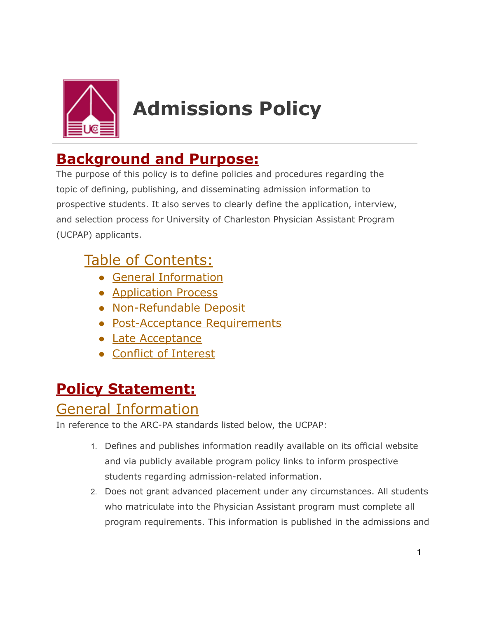

# **Admissions Policy**

# **Background and Purpose:**

The purpose of this policy is to define policies and procedures regarding the topic of defining, publishing, and disseminating admission information to prospective students. It also serves to clearly define the application, interview, and selection process for University of Charleston Physician Assistant Program (UCPAP) applicants.

# Table of Contents:

- General Information
- Application Process
- Non-Refundable Deposit
- Post-Acceptance Requirements
- Late Acceptance
- Conflict of Interest

# **Policy Statement:**

#### General Information

In reference to the ARC-PA standards listed below, the UCPAP:

- 1. Defines and publishes information readily available on its official website and via publicly available program policy links to inform prospective students regarding admission-related information.
- 2. Does not grant advanced placement under any circumstances. All students who matriculate into the Physician Assistant program must complete all program requirements. This information is published in the admissions and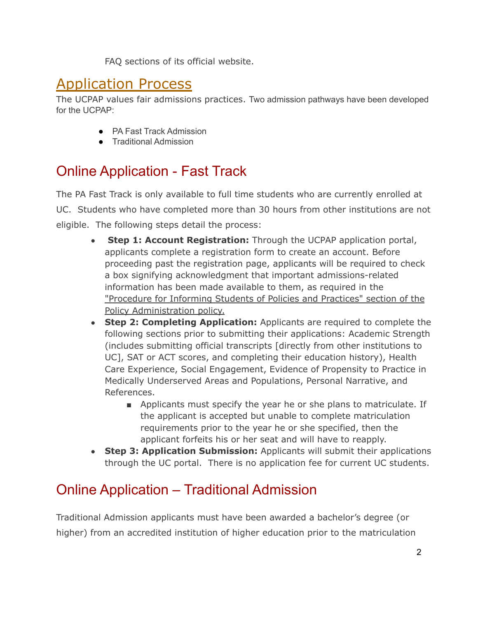FAQ sections of its official website.

## Application Process

The UCPAP values fair admissions practices. Two admission pathways have been developed for the UCPAP:

- PA Fast Track Admission
- Traditional Admission

## Online Application - Fast Track

The PA Fast Track is only available to full time students who are currently enrolled at UC. Students who have completed more than 30 hours from other institutions are not eligible. The following steps detail the process:

- **Step 1: Account Registration:** Through the UCPAP application portal, applicants complete a registration form to create an account. Before proceeding past the registration page, applicants will be required to check a box signifying acknowledgment that important admissions-related information has been made available to them, as required in the "Procedure for Informing Students of Policies and Practices" section of the Policy Administration policy.
- **Step 2: Completing Application:** Applicants are required to complete the following sections prior to submitting their applications: Academic Strength (includes submitting official transcripts [directly from other institutions to UC], SAT or ACT scores, and completing their education history), Health Care Experience, Social Engagement, Evidence of Propensity to Practice in Medically Underserved Areas and Populations, Personal Narrative, and References.
	- Applicants must specify the year he or she plans to matriculate. If the applicant is accepted but unable to complete matriculation requirements prior to the year he or she specified, then the applicant forfeits his or her seat and will have to reapply.
- **Step 3: Application Submission:** Applicants will submit their applications through the UC portal. There is no application fee for current UC students.

# Online Application – Traditional Admission

Traditional Admission applicants must have been awarded a bachelor's degree (or higher) from an accredited institution of higher education prior to the matriculation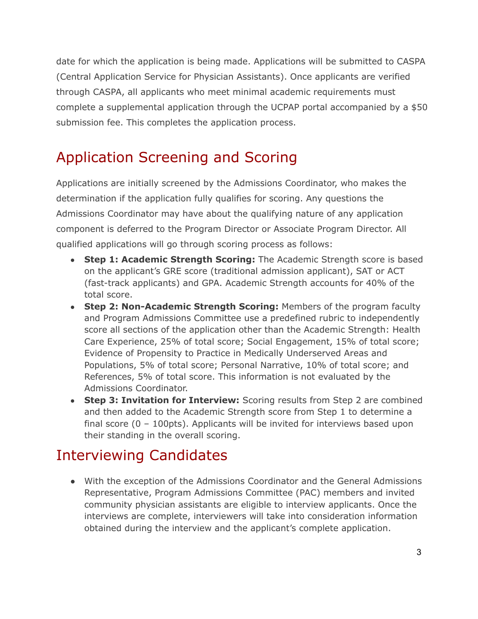date for which the application is being made. Applications will be submitted to CASPA (Central Application Service for Physician Assistants). Once applicants are verified through CASPA, all applicants who meet minimal academic requirements must complete a supplemental application through the UCPAP portal accompanied by a \$50 submission fee. This completes the application process.

# Application Screening and Scoring

Applications are initially screened by the Admissions Coordinator, who makes the determination if the application fully qualifies for scoring. Any questions the Admissions Coordinator may have about the qualifying nature of any application component is deferred to the Program Director or Associate Program Director. All qualified applications will go through scoring process as follows:

- **Step 1: Academic Strength Scoring:** The Academic Strength score is based on the applicant's GRE score (traditional admission applicant), SAT or ACT (fast-track applicants) and GPA. Academic Strength accounts for 40% of the total score.
- **Step 2: Non-Academic Strength Scoring:** Members of the program faculty and Program Admissions Committee use a predefined rubric to independently score all sections of the application other than the Academic Strength: Health Care Experience, 25% of total score; Social Engagement, 15% of total score; Evidence of Propensity to Practice in Medically Underserved Areas and Populations, 5% of total score; Personal Narrative, 10% of total score; and References, 5% of total score. This information is not evaluated by the Admissions Coordinator.
- **Step 3: Invitation for Interview:** Scoring results from Step 2 are combined and then added to the Academic Strength score from Step 1 to determine a final score  $(0 - 100 \text{pts})$ . Applicants will be invited for interviews based upon their standing in the overall scoring.

## Interviewing Candidates

● With the exception of the Admissions Coordinator and the General Admissions Representative, Program Admissions Committee (PAC) members and invited community physician assistants are eligible to interview applicants. Once the interviews are complete, interviewers will take into consideration information obtained during the interview and the applicant's complete application.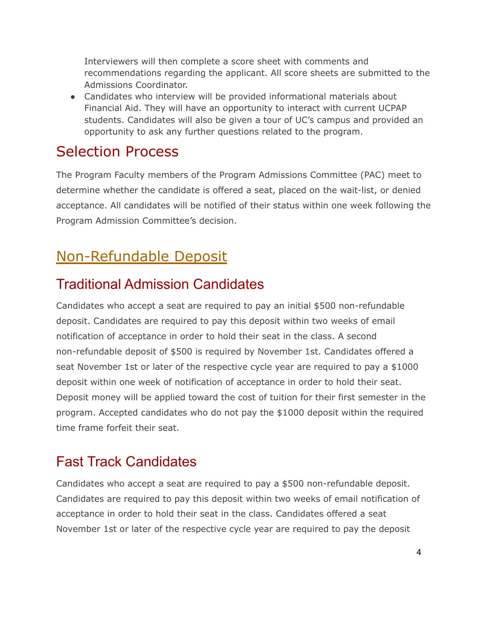Interviewers will then complete a score sheet with comments and recommendations regarding the applicant. All score sheets are submitted to the Admissions Coordinator.

• Candidates who interview will be provided informational materials about Financial Aid. They will have an opportunity to interact with current UCPAP students. Candidates will also be given a tour of UC's campus and provided an opportunity to ask any further questions related to the program.

#### Selection Process

The Program Faculty members of the Program Admissions Committee (PAC) meet to determine whether the candidate is offered a seat, placed on the wait-list, or denied acceptance. All candidates will be notified of their status within one week following the Program Admission Committee's decision.

# Non-Refundable Deposit

## Traditional Admission Candidates

Candidates who accept a seat are required to pay an initial \$500 non-refundable deposit. Candidates are required to pay this deposit within two weeks of email notification of acceptance in order to hold their seat in the class. A second non-refundable deposit of \$500 is required by November 1st. Candidates offered a seat November 1st or later of the respective cycle year are required to pay a \$1000 deposit within one week of notification of acceptance in order to hold their seat. Deposit money will be applied toward the cost of tuition for their first semester in the program. Accepted candidates who do not pay the \$1000 deposit within the required time frame forfeit their seat.

## Fast Track Candidates

Candidates who accept a seat are required to pay a \$500 non-refundable deposit. Candidates are required to pay this deposit within two weeks of email notification of acceptance in order to hold their seat in the class. Candidates offered a seat November 1st or later of the respective cycle year are required to pay the deposit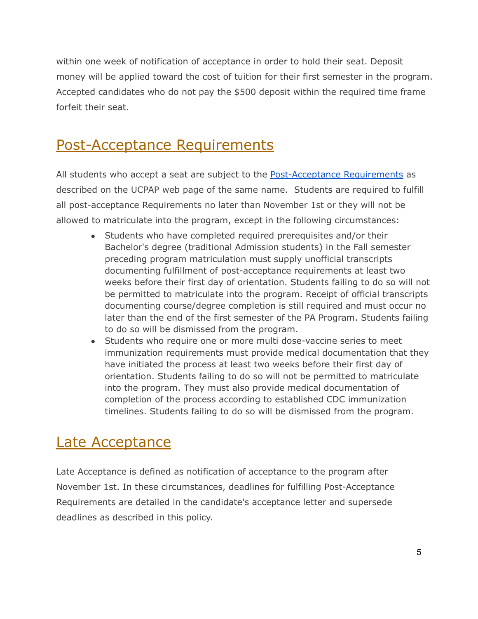within one week of notification of acceptance in order to hold their seat. Deposit money will be applied toward the cost of tuition for their first semester in the program. Accepted candidates who do not pay the \$500 deposit within the required time frame forfeit their seat.

## Post-Acceptance Requirements

All students who accept a seat are subject to the **Post-Acceptance Requirements** as described on the UCPAP web page of the same name. Students are required to fulfill all post-acceptance Requirements no later than November 1st or they will not be allowed to matriculate into the program, except in the following circumstances:

- Students who have completed required prerequisites and/or their Bachelor's degree (traditional Admission students) in the Fall semester preceding program matriculation must supply unofficial transcripts documenting fulfillment of post-acceptance requirements at least two weeks before their first day of orientation. Students failing to do so will not be permitted to matriculate into the program. Receipt of official transcripts documenting course/degree completion is still required and must occur no later than the end of the first semester of the PA Program. Students failing to do so will be dismissed from the program.
- Students who require one or more multi dose-vaccine series to meet immunization requirements must provide medical documentation that they have initiated the process at least two weeks before their first day of orientation. Students failing to do so will not be permitted to matriculate into the program. They must also provide medical documentation of completion of the process according to established CDC immunization timelines. Students failing to do so will be dismissed from the program.

#### Late Acceptance

Late Acceptance is defined as notification of acceptance to the program after November 1st. In these circumstances, deadlines for fulfilling Post-Acceptance Requirements are detailed in the candidate's acceptance letter and supersede deadlines as described in this policy.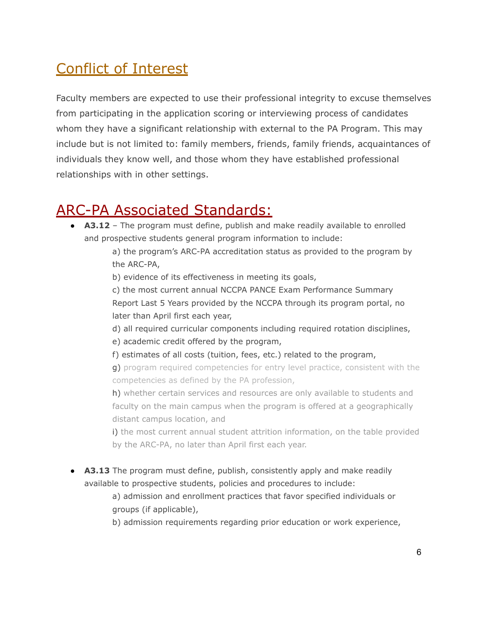# Conflict of Interest

Faculty members are expected to use their professional integrity to excuse themselves from participating in the application scoring or interviewing process of candidates whom they have a significant relationship with external to the PA Program. This may include but is not limited to: family members, friends, family friends, acquaintances of individuals they know well, and those whom they have established professional relationships with in other settings.

## ARC-PA Associated Standards:

● **A3.12** – The program must define, publish and make readily available to enrolled and prospective students general program information to include:

> a) the program's ARC-PA accreditation status as provided to the program by the ARC-PA,

b) evidence of its effectiveness in meeting its goals,

c) the most current annual NCCPA PANCE Exam Performance Summary Report Last 5 Years provided by the NCCPA through its program portal, no later than April first each year,

d) all required curricular components including required rotation disciplines,

e) academic credit offered by the program,

f) estimates of all costs (tuition, fees, etc.) related to the program,

g) program required competencies for entry level practice, consistent with the competencies as defined by the PA profession,

h) whether certain services and resources are only available to students and faculty on the main campus when the program is offered at a geographically distant campus location, and

i) the most current annual student attrition information, on the table provided by the ARC-PA, no later than April first each year.

● **A3.13** The program must define, publish, consistently apply and make readily available to prospective students, policies and procedures to include:

> a) admission and enrollment practices that favor specified individuals or groups (if applicable),

b) admission requirements regarding prior education or work experience,